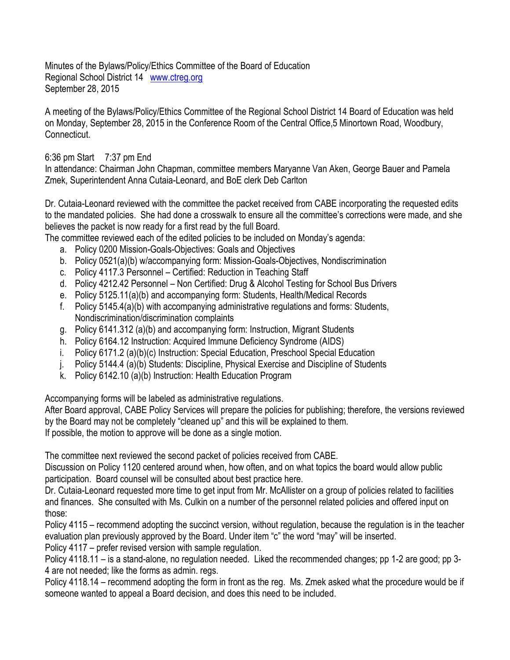Minutes of the Bylaws/Policy/Ethics Committee of the Board of Education Regional School District 14 [www.ctreg.org](http://www.ctreg.org/) September 28, 2015

A meeting of the Bylaws/Policy/Ethics Committee of the Regional School District 14 Board of Education was held on Monday, September 28, 2015 in the Conference Room of the Central Office,5 Minortown Road, Woodbury, Connecticut.

## 6:36 pm Start 7:37 pm End

In attendance: Chairman John Chapman, committee members Maryanne Van Aken, George Bauer and Pamela Zmek, Superintendent Anna Cutaia-Leonard, and BoE clerk Deb Carlton

Dr. Cutaia-Leonard reviewed with the committee the packet received from CABE incorporating the requested edits to the mandated policies. She had done a crosswalk to ensure all the committee's corrections were made, and she believes the packet is now ready for a first read by the full Board.

The committee reviewed each of the edited policies to be included on Monday's agenda:

- a. Policy 0200 Mission-Goals-Objectives: Goals and Objectives
- b. Policy 0521(a)(b) w/accompanying form: Mission-Goals-Objectives, Nondiscrimination
- c. Policy 4117.3 Personnel Certified: Reduction in Teaching Staff
- d. Policy 4212.42 Personnel Non Certified: Drug & Alcohol Testing for School Bus Drivers
- e. Policy 5125.11(a)(b) and accompanying form: Students, Health/Medical Records
- f. Policy 5145.4(a)(b) with accompanying administrative regulations and forms: Students, Nondiscrimination/discrimination complaints
- g. Policy 6141.312 (a)(b) and accompanying form: Instruction, Migrant Students
- h. Policy 6164.12 Instruction: Acquired Immune Deficiency Syndrome (AIDS)
- i. Policy 6171.2 (a)(b)(c) Instruction: Special Education, Preschool Special Education
- j. Policy 5144.4 (a)(b) Students: Discipline, Physical Exercise and Discipline of Students
- k. Policy 6142.10 (a)(b) Instruction: Health Education Program

Accompanying forms will be labeled as administrative regulations.

After Board approval, CABE Policy Services will prepare the policies for publishing; therefore, the versions reviewed by the Board may not be completely "cleaned up" and this will be explained to them. If possible, the motion to approve will be done as a single motion.

The committee next reviewed the second packet of policies received from CABE.

Discussion on Policy 1120 centered around when, how often, and on what topics the board would allow public participation. Board counsel will be consulted about best practice here.

Dr. Cutaia-Leonard requested more time to get input from Mr. McAllister on a group of policies related to facilities and finances. She consulted with Ms. Culkin on a number of the personnel related policies and offered input on those:

Policy 4115 – recommend adopting the succinct version, without regulation, because the regulation is in the teacher evaluation plan previously approved by the Board. Under item "c" the word "may" will be inserted.

Policy 4117 – prefer revised version with sample regulation.

Policy 4118.11 – is a stand-alone, no regulation needed. Liked the recommended changes; pp 1-2 are good; pp 3- 4 are not needed; like the forms as admin. regs.

Policy 4118.14 – recommend adopting the form in front as the reg. Ms. Zmek asked what the procedure would be if someone wanted to appeal a Board decision, and does this need to be included.